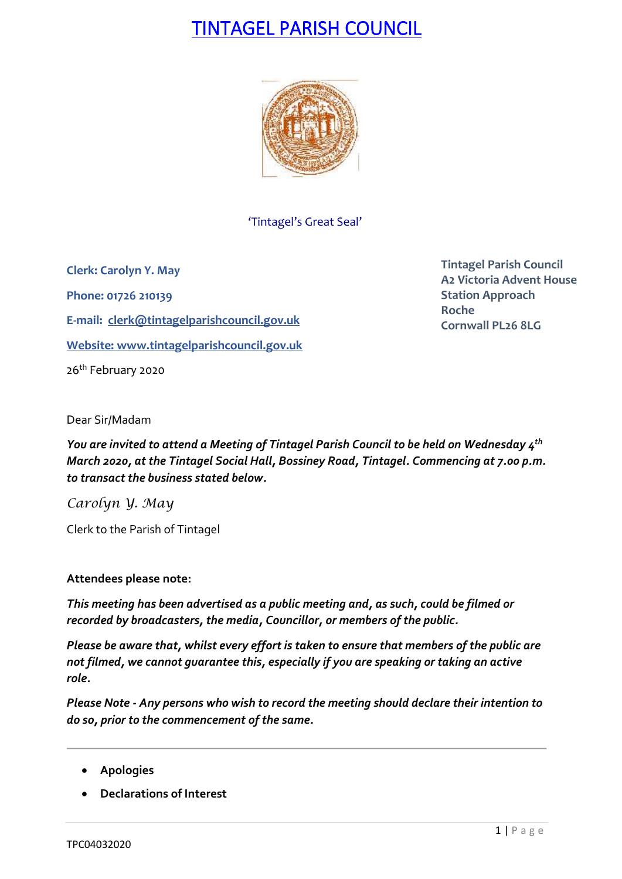# TINTAGEL PARISH COUNCIL



'Tintagel's Great Seal'

**Clerk: Carolyn Y. May Phone: 01726 210139 E-mail: [clerk@tintagelparishcouncil.gov.uk](mailto:clerk@tintagelparishcouncil.gov.uk) Website: [www.tintagelparishcouncil.gov.uk](http://www.tintagelparishcouncil.gov.uk/)** 26<sup>th</sup> February 2020

**Tintagel Parish Council A2 Victoria Advent House Station Approach Roche Cornwall PL26 8LG**

Dear Sir/Madam

*You are invited to attend a Meeting of Tintagel Parish Council to be held on Wednesday 4 th March 2020, at the Tintagel Social Hall, Bossiney Road, Tintagel. Commencing at 7.00 p.m. to transact the business stated below.*

*Carolyn Y. May*

Clerk to the Parish of Tintagel

### **Attendees please note:**

*This meeting has been advertised as a public meeting and, as such, could be filmed or recorded by broadcasters, the media, Councillor, or members of the public.*

*Please be aware that, whilst every effort is taken to ensure that members of the public are not filmed, we cannot guarantee this, especially if you are speaking or taking an active role.*

*Please Note - Any persons who wish to record the meeting should declare their intention to do so, prior to the commencement of the same.*

- **Apologies**
- **Declarations of Interest**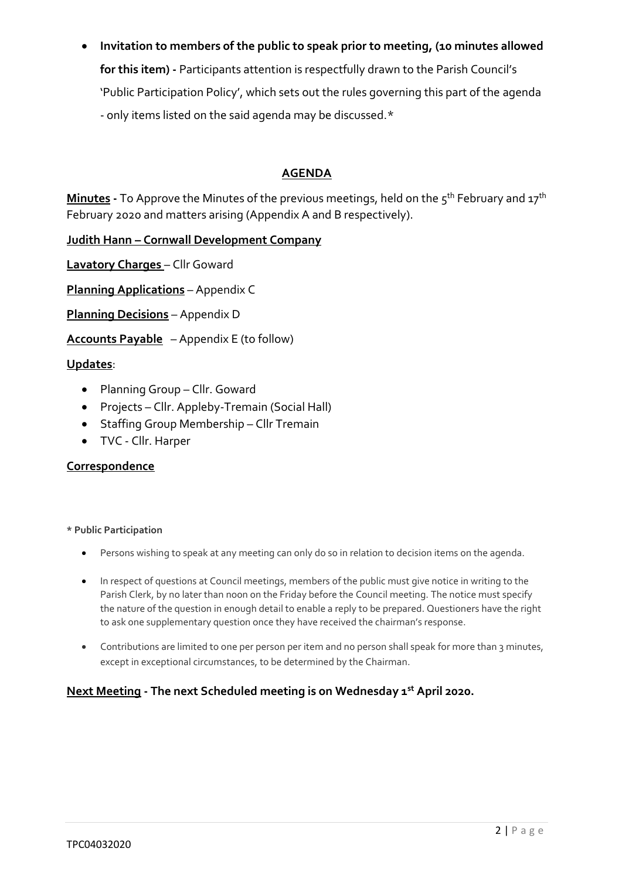• **Invitation to members of the public to speak prior to meeting, (10 minutes allowed for this item) -** Participants attention is respectfully drawn to the Parish Council's 'Public Participation Policy', which sets out the rules governing this part of the agenda - only items listed on the said agenda may be discussed.\*

# **AGENDA**

**Minutes -** To Approve the Minutes of the previous meetings, held on the 5 th February and 17th February 2020 and matters arising (Appendix A and B respectively).

**Judith Hann – Cornwall Development Company**

**Lavatory Charges** – Cllr Goward

**Planning Applications** – Appendix C

**Planning Decisions** – Appendix D

**Accounts Payable** – Appendix E (to follow)

### **Updates**:

- Planning Group Cllr. Goward
- Projects Cllr. Appleby-Tremain (Social Hall)
- Staffing Group Membership Cllr Tremain
- TVC Cllr. Harper

### **Correspondence**

#### **\* Public Participation**

- Persons wishing to speak at any meeting can only do so in relation to decision items on the agenda.
- In respect of questions at Council meetings, members of the public must give notice in writing to the Parish Clerk, by no later than noon on the Friday before the Council meeting. The notice must specify the nature of the question in enough detail to enable a reply to be prepared. Questioners have the right to ask one supplementary question once they have received the chairman's response.
- Contributions are limited to one per person per item and no person shall speak for more than 3 minutes, except in exceptional circumstances, to be determined by the Chairman.

## **Next Meeting - The next Scheduled meeting is on Wednesday 1 st April 2020.**